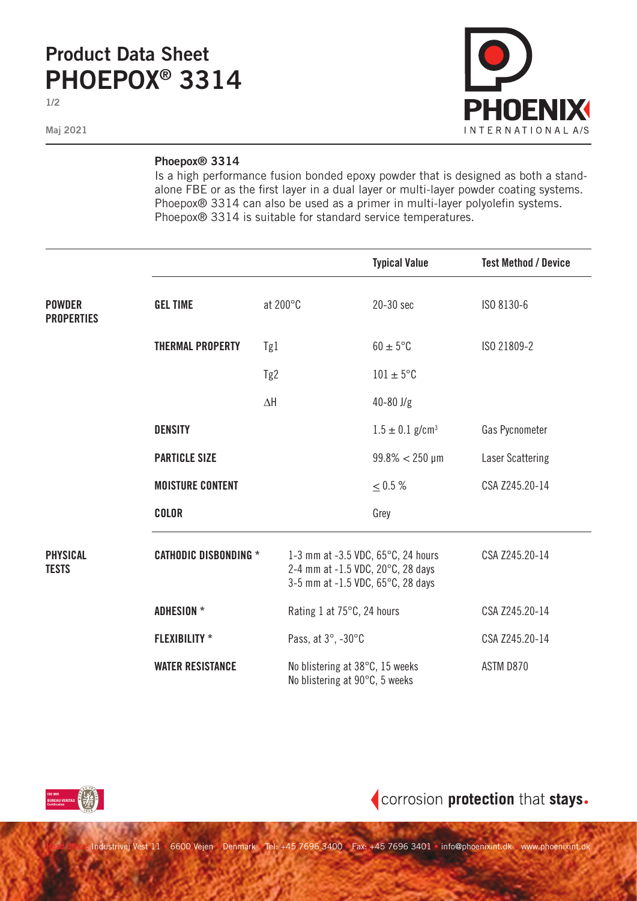## **Product Data Sheet PHOEPOX® 3314**

**1/2**

**Maj 2021**



## **Phoepox® 3314**

Is a high performance fusion bonded epoxy powder that is designed as both a standalone FBE or as the first layer in a dual layer or multi-layer powder coating systems. Phoepox® 3314 can also be used as a primer in multi-layer polyolefin systems. Phoepox® 3314 is suitable for standard service temperatures.

|                                    |                              |                 |                                                                                                              | <b>Typical Value</b>            | <b>Test Method / Device</b> |
|------------------------------------|------------------------------|-----------------|--------------------------------------------------------------------------------------------------------------|---------------------------------|-----------------------------|
| <b>POWDER</b><br><b>PROPERTIES</b> | <b>GEL TIME</b>              | at 200°C        |                                                                                                              | 20-30 sec                       | ISO 8130-6                  |
|                                    | <b>THERMAL PROPERTY</b>      | Tg1             |                                                                                                              | $60 \pm 5$ °C                   | ISO 21809-2                 |
|                                    |                              | Tg <sub>2</sub> |                                                                                                              | $101 \pm 5$ °C                  |                             |
|                                    |                              | $\Delta H$      |                                                                                                              | $40 - 80$ J/g                   |                             |
|                                    | <b>DENSITY</b>               |                 |                                                                                                              | $1.5 \pm 0.1$ g/cm <sup>3</sup> | Gas Pycnometer              |
|                                    | <b>PARTICLE SIZE</b>         |                 |                                                                                                              | $99.8\% < 250 \,\mu m$          | Laser Scattering            |
|                                    | <b>MOISTURE CONTENT</b>      |                 |                                                                                                              | < 0.5 %                         | CSA Z245.20-14              |
|                                    | <b>COLOR</b>                 |                 |                                                                                                              | Grey                            |                             |
| <b>PHYSICAL</b><br><b>TESTS</b>    | <b>CATHODIC DISBONDING *</b> |                 | 1-3 mm at -3.5 VDC, 65°C, 24 hours<br>2-4 mm at -1.5 VDC, 20°C, 28 days<br>3-5 mm at -1.5 VDC, 65°C, 28 days |                                 | CSA Z245.20-14              |
|                                    | <b>ADHESION *</b>            |                 | Rating 1 at 75°C, 24 hours                                                                                   |                                 | CSA Z245.20-14              |
|                                    | <b>FLEXIBILITY *</b>         |                 | Pass, at 3°, -30°C                                                                                           |                                 | CSA Z245.20-14              |
|                                    | <b>WATER RESISTANCE</b>      |                 | No blistering at 38°C, 15 weeks<br>No blistering at 90°C, 5 weeks                                            |                                 | ASTM D870                   |



## corrosion protection that stays.